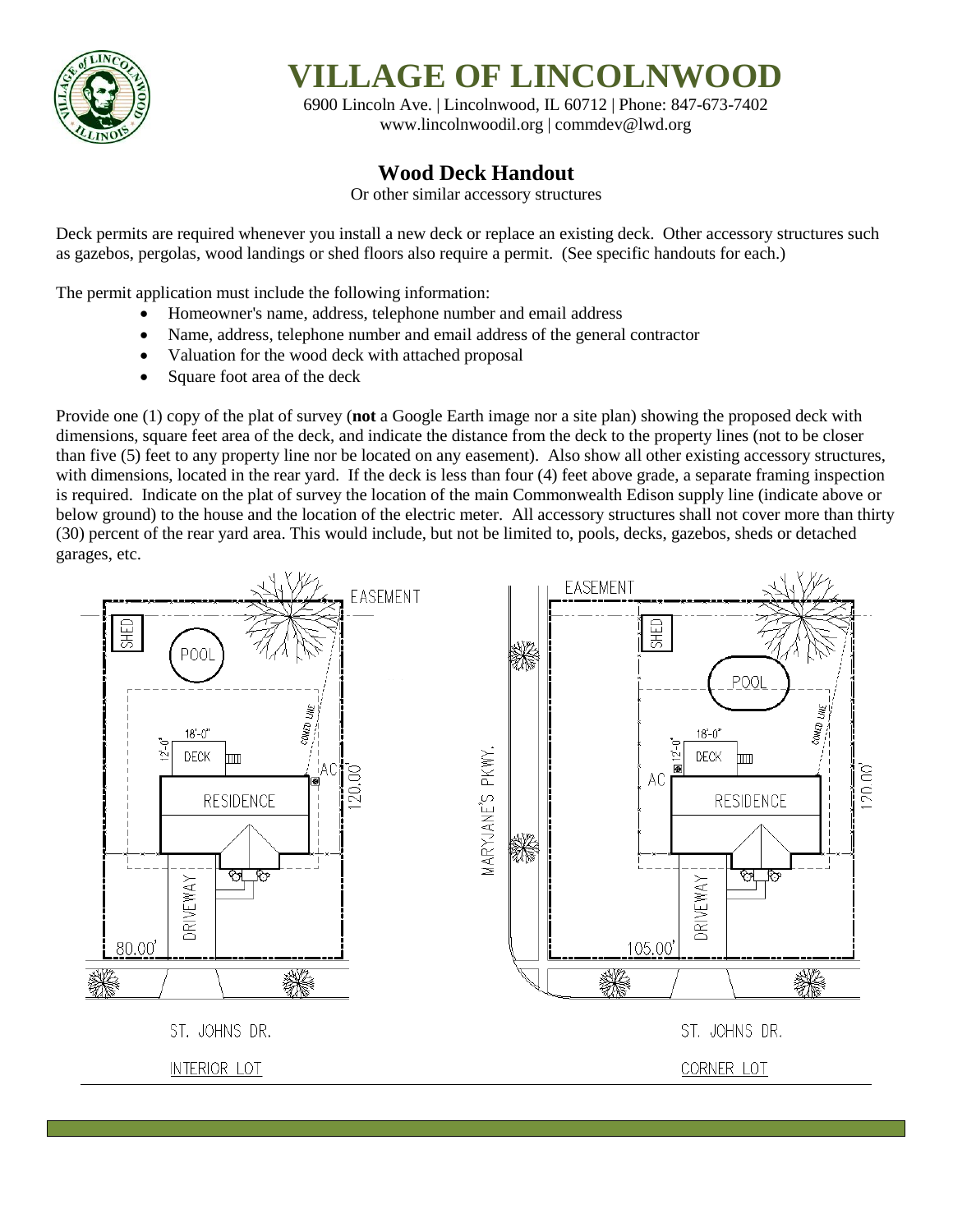

**VILLAGE OF LINCOLNWOOD**

6900 Lincoln Ave. | Lincolnwood, IL 60712 | Phone: 847-673-7402 [www.lincolnwoodil.org](http://www.lincolnwoodil.org/) | commdev@lwd.org

## **Wood Deck Handout**

Or other similar accessory structures

Deck permits are required whenever you install a new deck or replace an existing deck. Other accessory structures such as gazebos, pergolas, wood landings or shed floors also require a permit. (See specific handouts for each.)

The permit application must include the following information:

- Homeowner's name, address, telephone number and email address
- Name, address, telephone number and email address of the general contractor
- Valuation for the wood deck with attached proposal
- Square foot area of the deck

Provide one (1) copy of the plat of survey (**not** a Google Earth image nor a site plan) showing the proposed deck with dimensions, square feet area of the deck, and indicate the distance from the deck to the property lines (not to be closer than five (5) feet to any property line nor be located on any easement). Also show all other existing accessory structures, with dimensions, located in the rear yard. If the deck is less than four (4) feet above grade, a separate framing inspection is required. Indicate on the plat of survey the location of the main Commonwealth Edison supply line (indicate above or below ground) to the house and the location of the electric meter. All accessory structures shall not cover more than thirty (30) percent of the rear yard area. This would include, but not be limited to, pools, decks, gazebos, sheds or detached garages, etc.